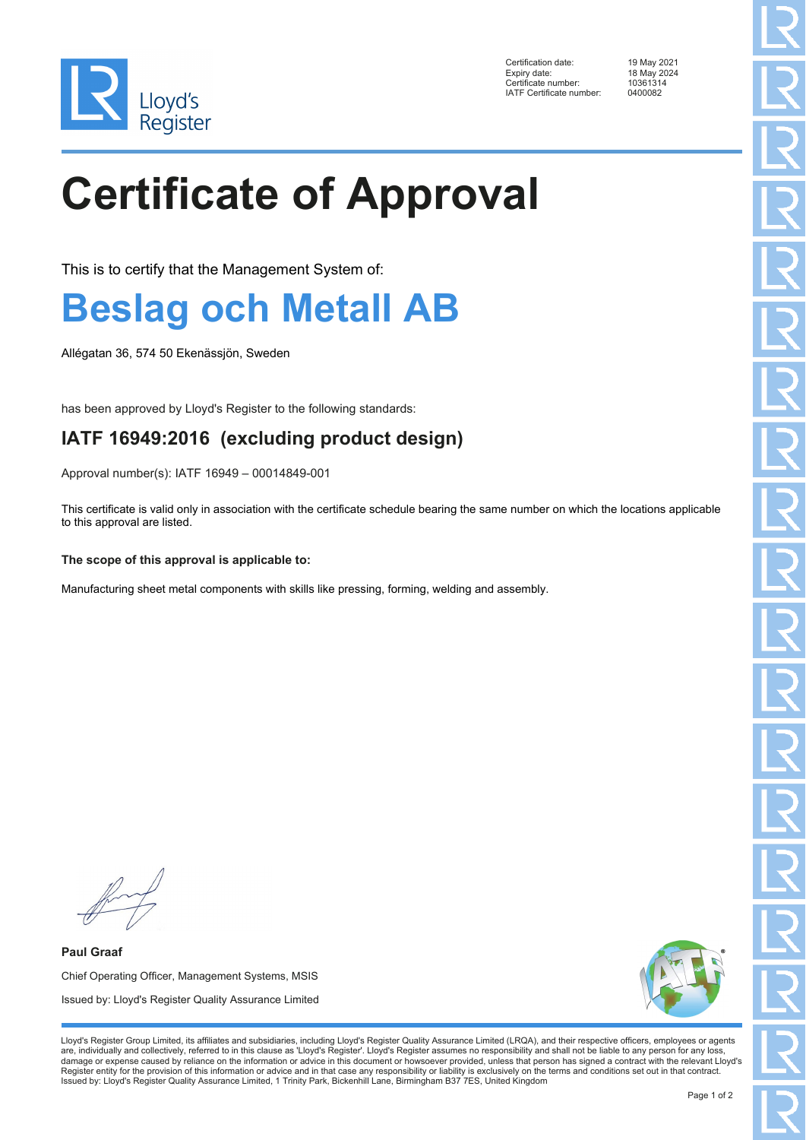

Certification date: 19 May 2021 Expiry date: 18 May 2024<br>Certificate number: 10361314 Ency Enter<br>Certificate number: 1036131<br>IATE Certificate number: 0400082 IATF Certificate number:

# **Certificate of Approval**

This is to certify that the Management System of:

### **Beslag och Metall AB**

Allégatan 36, 574 50 Ekenässjön, Sweden

has been approved by Lloyd's Register to the following standards:

### **IATF 16949:2016 (excluding product design)**

Approval number(s): IATF 16949 – 00014849-001

This certificate is valid only in association with the certificate schedule bearing the same number on which the locations applicable to this approval are listed.

#### **The scope of this approval is applicable to:**

Manufacturing sheet metal components with skills like pressing, forming, welding and assembly.

**Paul Graaf** Chief Operating Officer, Management Systems, MSIS Issued by: Lloyd's Register Quality Assurance Limited



Lloyd's Register Group Limited, its affiliates and subsidiaries, including Lloyd's Register Quality Assurance Limited (LRQA), and their respective officers, employees or agents are, individually and collectively, referred to in this clause as 'Lloyd's Register'. Lloyd's Register assumes no responsibility and shall not be liable to any person for any loss,<br>damage or expense caused by reliance on t Register entity for the provision of this information or advice and in that case any responsibility or liability is exclusively on the terms and conditions set out in that contract. Issued by: Lloyd's Register Quality Assurance Limited, 1 Trinity Park, Bickenhill Lane, Birmingham B37 7ES, United Kingdom